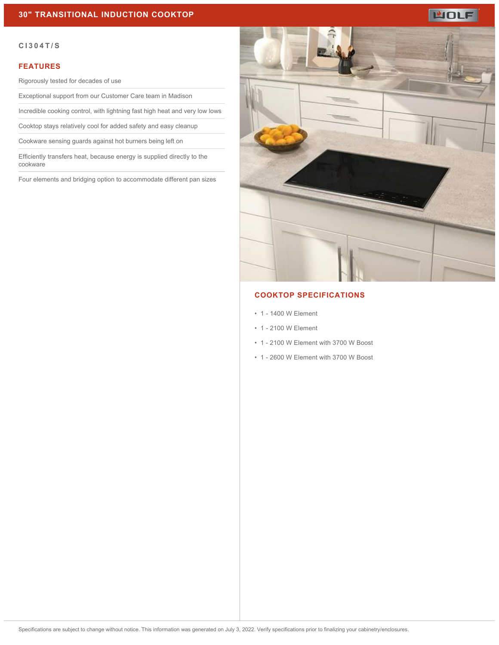# LUOLF

#### **CI304T/S**

#### **FEATURES**

Rigorously tested for decades of use

Exceptional support from our Customer Care team in Madison

Incredible cooking control, with lightning fast high heat and very low lows

Cooktop stays relatively cool for added safety and easy cleanup

Cookware sensing guards against hot burners being left on

Efficiently transfers heat, because energy is supplied directly to the cookware

Four elements and bridging option to accommodate different pan sizes



# **COOKTOP SPECIFICATIONS**

- 1 1400 W Element
- 1 2100 W Element
- 1 2100 W Element with 3700 W Boost
- 1 2600 W Element with 3700 W Boost